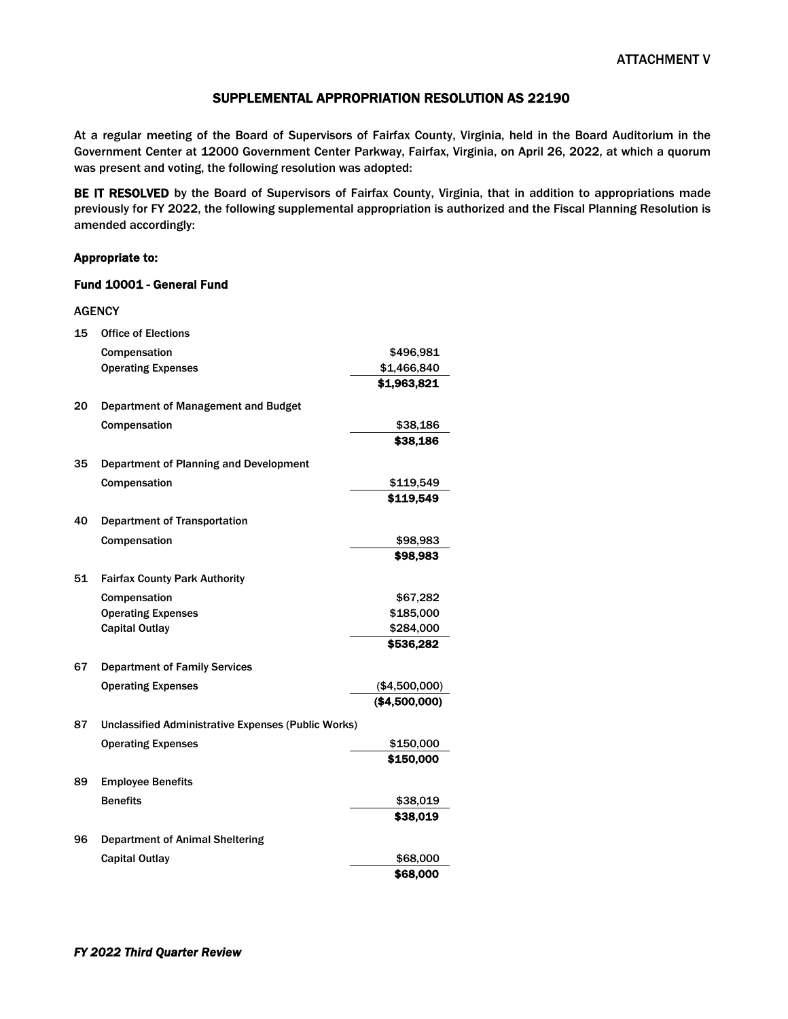## SUPPLEMENTAL APPROPRIATION RESOLUTION AS 22190

At a regular meeting of the Board of Supervisors of Fairfax County, Virginia, held in the Board Auditorium in the Government Center at 12000 Government Center Parkway, Fairfax, Virginia, on April 26, 2022, at which a quorum was present and voting, the following resolution was adopted:

BE IT RESOLVED by the Board of Supervisors of Fairfax County, Virginia, that in addition to appropriations made previously for FY 2022, the following supplemental appropriation is authorized and the Fiscal Planning Resolution is amended accordingly:

### Appropriate to:

#### Fund 10001 - General Fund

### **AGENCY**

| 15 | <b>Office of Elections</b>                                 |               |
|----|------------------------------------------------------------|---------------|
|    | Compensation                                               | \$496,981     |
|    | <b>Operating Expenses</b>                                  | \$1,466,840   |
|    |                                                            | \$1,963,821   |
| 20 | Department of Management and Budget                        |               |
|    | Compensation                                               | \$38,186      |
|    |                                                            | \$38,186      |
| 35 | Department of Planning and Development                     |               |
|    | Compensation                                               | \$119,549     |
|    |                                                            | \$119,549     |
| 40 | <b>Department of Transportation</b>                        |               |
|    | Compensation                                               | \$98,983      |
|    |                                                            | \$98,983      |
| 51 | <b>Fairfax County Park Authority</b>                       |               |
|    | Compensation                                               | \$67,282      |
|    | <b>Operating Expenses</b>                                  | \$185,000     |
|    | <b>Capital Outlay</b>                                      | \$284,000     |
|    |                                                            | \$536,282     |
| 67 | <b>Department of Family Services</b>                       |               |
|    | <b>Operating Expenses</b>                                  | (\$4,500,000) |
|    |                                                            | (\$4,500,000) |
| 87 | <b>Unclassified Administrative Expenses (Public Works)</b> |               |
|    | <b>Operating Expenses</b>                                  | \$150,000     |
|    |                                                            | \$150,000     |
| 89 | <b>Employee Benefits</b>                                   |               |
|    | <b>Benefits</b>                                            | \$38,019      |
|    |                                                            | \$38,019      |
| 96 | <b>Department of Animal Sheltering</b>                     |               |
|    | <b>Capital Outlay</b>                                      | \$68,000      |
|    |                                                            | \$68,000      |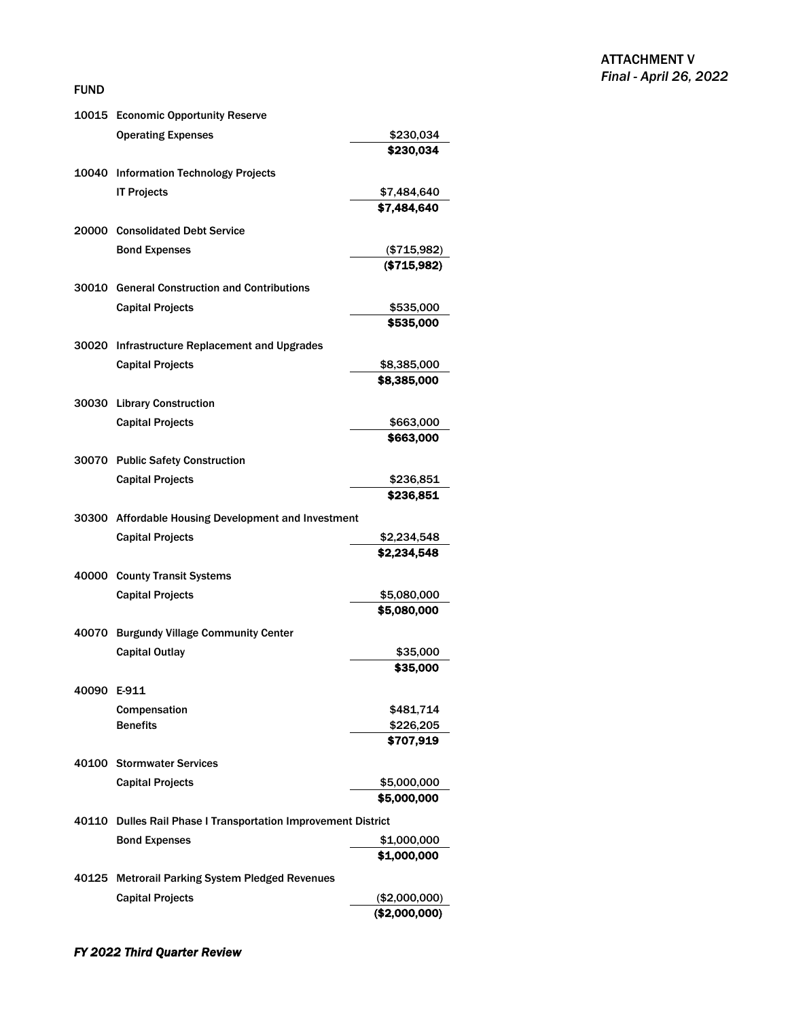#### FUND

| 10015 | <b>Economic Opportunity Reserve</b>                                         |                            |
|-------|-----------------------------------------------------------------------------|----------------------------|
|       | <b>Operating Expenses</b>                                                   | \$230,034                  |
|       |                                                                             | \$230,034                  |
|       | 10040 Information Technology Projects                                       |                            |
|       | <b>IT Projects</b>                                                          | \$7,484,640                |
|       |                                                                             | \$7,484,640                |
|       | 20000 Consolidated Debt Service                                             |                            |
|       | <b>Bond Expenses</b>                                                        | (\$715,982)                |
|       |                                                                             | (\$715,982)                |
|       | 30010 General Construction and Contributions                                |                            |
|       | <b>Capital Projects</b>                                                     | \$535,000                  |
|       |                                                                             | \$535,000                  |
|       | 30020 Infrastructure Replacement and Upgrades                               |                            |
|       | <b>Capital Projects</b>                                                     | \$8,385,000                |
|       |                                                                             | \$8,385,000                |
|       | 30030 Library Construction                                                  |                            |
|       | <b>Capital Projects</b>                                                     | \$663,000                  |
|       |                                                                             | \$663,000                  |
|       | 30070 Public Safety Construction                                            |                            |
|       | <b>Capital Projects</b>                                                     | \$236,851                  |
|       |                                                                             | \$236,851                  |
|       | 30300 Affordable Housing Development and Investment                         |                            |
|       | <b>Capital Projects</b>                                                     | \$2,234,548                |
|       |                                                                             | \$2,234,548                |
|       | 40000 County Transit Systems                                                |                            |
|       | <b>Capital Projects</b>                                                     |                            |
|       |                                                                             | \$5,080,000<br>\$5,080,000 |
|       |                                                                             |                            |
| 40070 | <b>Burgundy Village Community Center</b>                                    |                            |
|       | Capital Outlay                                                              | \$35,000<br>\$35,000       |
|       |                                                                             |                            |
| 40090 | E-911                                                                       |                            |
|       | Compensation<br><b>Benefits</b>                                             | \$481,714<br>\$226,205     |
|       |                                                                             | \$707,919                  |
|       | 40100 Stormwater Services                                                   |                            |
|       | <b>Capital Projects</b>                                                     | \$5,000,000                |
|       |                                                                             | \$5,000,000                |
|       | 40110 Dulles Rail Phase I Transportation Improvement District               |                            |
|       | <b>Bond Expenses</b>                                                        | \$1,000,000                |
|       |                                                                             | \$1,000,000                |
| 40125 |                                                                             |                            |
|       | <b>Metrorail Parking System Pledged Revenues</b><br><b>Capital Projects</b> | (\$2,000,000)              |
|       |                                                                             | (\$2,000,000)              |
|       |                                                                             |                            |

## *FY 2022 Third Quarter Review*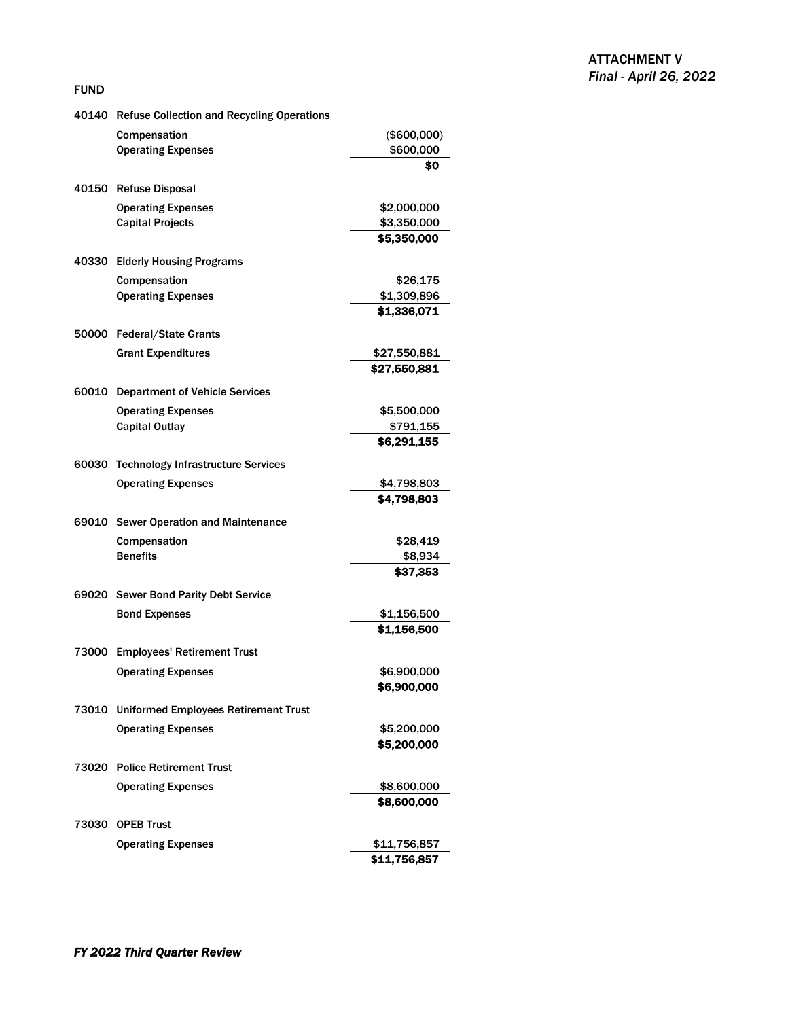#### FUND

|       | 40140 Refuse Collection and Recycling Operations |                              |
|-------|--------------------------------------------------|------------------------------|
|       | Compensation                                     | (\$600,000)                  |
|       | <b>Operating Expenses</b>                        | \$600,000                    |
|       |                                                  | \$O                          |
|       | 40150 Refuse Disposal                            |                              |
|       | <b>Operating Expenses</b>                        | \$2,000,000                  |
|       | <b>Capital Projects</b>                          | \$3,350,000                  |
|       |                                                  | \$5,350,000                  |
|       | 40330 Elderly Housing Programs                   |                              |
|       | Compensation                                     | \$26,175                     |
|       | <b>Operating Expenses</b>                        | \$1,309,896                  |
|       |                                                  | \$1,336,071                  |
|       | 50000 Federal/State Grants                       |                              |
|       | <b>Grant Expenditures</b>                        | \$27,550,881                 |
|       |                                                  | \$27,550,881                 |
| 60010 | <b>Department of Vehicle Services</b>            |                              |
|       | <b>Operating Expenses</b>                        | \$5,500,000                  |
|       | <b>Capital Outlay</b>                            | \$791,155                    |
|       |                                                  | \$6,291,155                  |
| 60030 | <b>Technology Infrastructure Services</b>        |                              |
|       | <b>Operating Expenses</b>                        | \$4,798,803                  |
|       |                                                  | \$4,798,803                  |
|       | 69010 Sewer Operation and Maintenance            |                              |
|       | Compensation                                     | \$28,419                     |
|       | <b>Benefits</b>                                  | \$8,934                      |
|       |                                                  | \$37,353                     |
|       | 69020 Sewer Bond Parity Debt Service             |                              |
|       | <b>Bond Expenses</b>                             | \$1,156,500                  |
|       |                                                  | \$1,156,500                  |
|       | 73000 Employees' Retirement Trust                |                              |
|       | <b>Operating Expenses</b>                        | \$6,900,000                  |
|       |                                                  | \$6,900,000                  |
|       | 73010 Uniformed Employees Retirement Trust       |                              |
|       | <b>Operating Expenses</b>                        | \$5,200,000                  |
|       |                                                  | \$5,200,000                  |
|       | 73020 Police Retirement Trust                    |                              |
|       | <b>Operating Expenses</b>                        | \$8,600,000                  |
|       |                                                  | \$8,600,000                  |
| 73030 | <b>OPEB Trust</b>                                |                              |
|       |                                                  |                              |
|       | <b>Operating Expenses</b>                        | \$11,756,857<br>\$11,756,857 |
|       |                                                  |                              |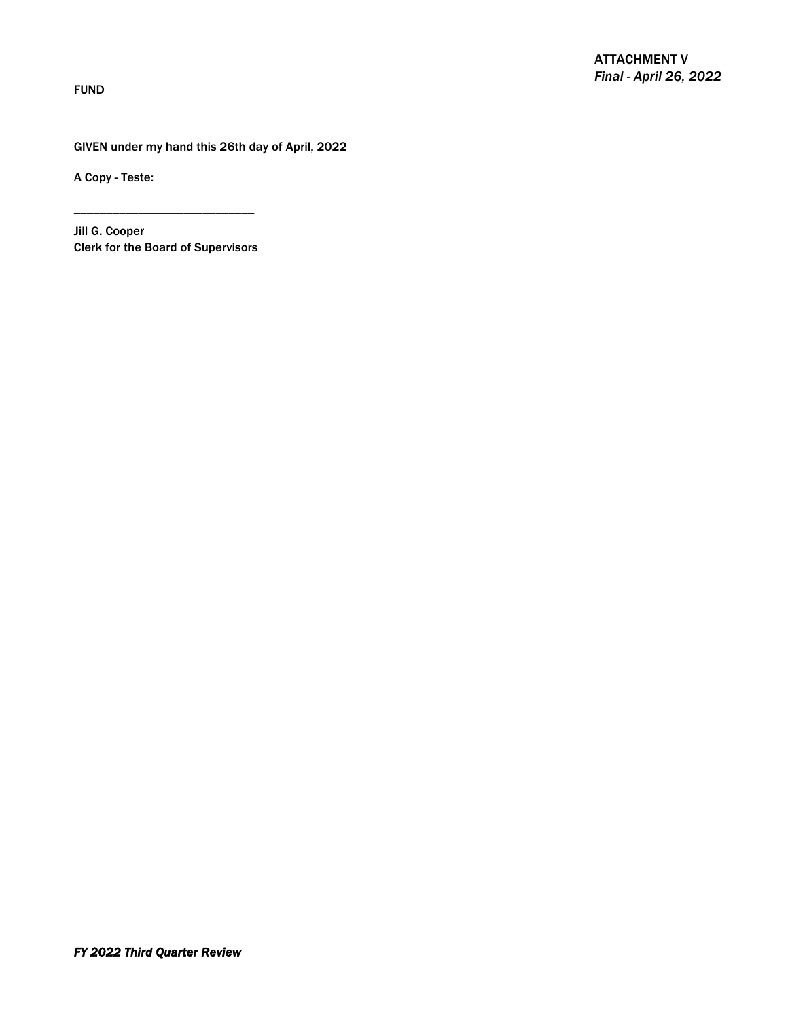FUND

GIVEN under my hand this 26th day of April, 2022

A Copy - Teste:

Jill G. Cooper Clerk for the Board of Supervisors

\_\_\_\_\_\_\_\_\_\_\_\_\_\_\_\_\_\_\_\_\_\_\_\_\_\_\_\_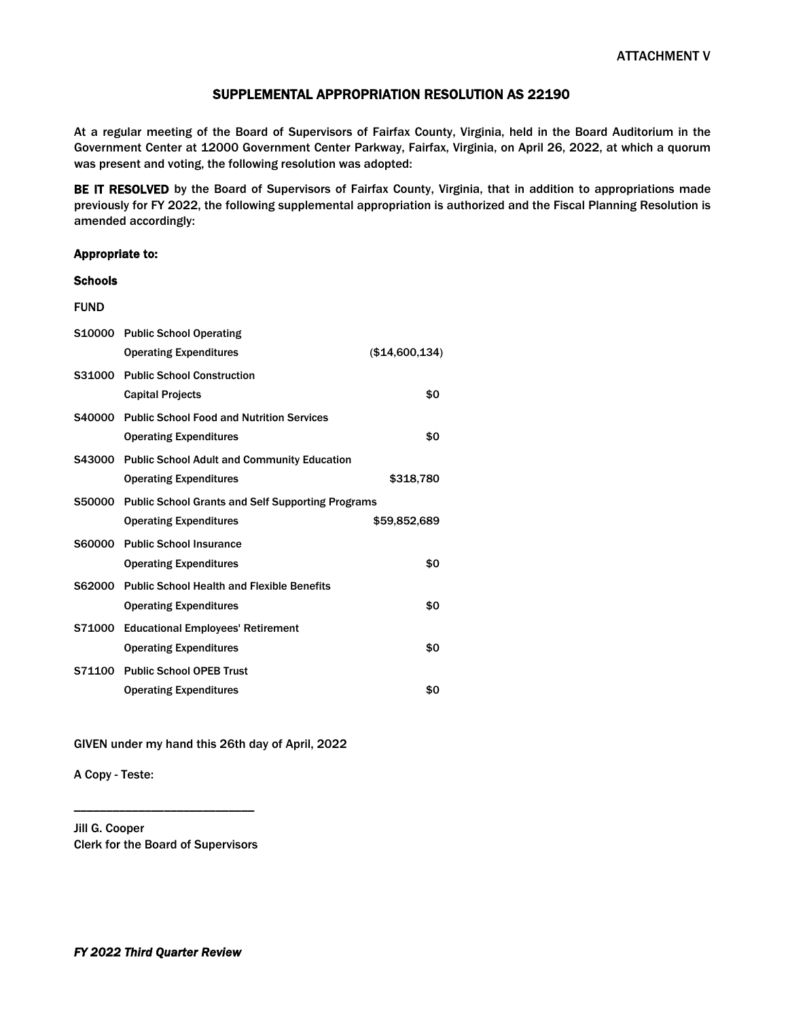## SUPPLEMENTAL APPROPRIATION RESOLUTION AS 22190

At a regular meeting of the Board of Supervisors of Fairfax County, Virginia, held in the Board Auditorium in the Government Center at 12000 Government Center Parkway, Fairfax, Virginia, on April 26, 2022, at which a quorum was present and voting, the following resolution was adopted:

BE IT RESOLVED by the Board of Supervisors of Fairfax County, Virginia, that in addition to appropriations made previously for FY 2022, the following supplemental appropriation is authorized and the Fiscal Planning Resolution is amended accordingly:

#### Appropriate to:

## **Schools**

# FUND

|               | S10000 Public School Operating                           |                |
|---------------|----------------------------------------------------------|----------------|
|               | <b>Operating Expenditures</b>                            | (\$14,600,134) |
| <b>S31000</b> | <b>Public School Construction</b>                        |                |
|               | <b>Capital Projects</b>                                  | \$0            |
| <b>S40000</b> | <b>Public School Food and Nutrition Services</b>         |                |
|               | <b>Operating Expenditures</b>                            | \$0            |
| S43000        | <b>Public School Adult and Community Education</b>       |                |
|               | <b>Operating Expenditures</b>                            | \$318,780      |
|               | S50000 Public School Grants and Self Supporting Programs |                |
|               | <b>Operating Expenditures</b>                            | \$59,852,689   |
| <b>S60000</b> | <b>Public School Insurance</b>                           |                |
|               | <b>Operating Expenditures</b>                            | \$0            |
| <b>S62000</b> | <b>Public School Health and Flexible Benefits</b>        |                |
|               | <b>Operating Expenditures</b>                            | \$0            |
| S71000        | <b>Educational Employees' Retirement</b>                 |                |
|               | <b>Operating Expenditures</b>                            | \$0            |
| <b>S71100</b> | <b>Public School OPEB Trust</b>                          |                |
|               | <b>Operating Expenditures</b>                            | \$0            |

GIVEN under my hand this 26th day of April, 2022

A Copy - Teste:

Jill G. Cooper Clerk for the Board of Supervisors

\_\_\_\_\_\_\_\_\_\_\_\_\_\_\_\_\_\_\_\_\_\_\_\_\_\_\_\_